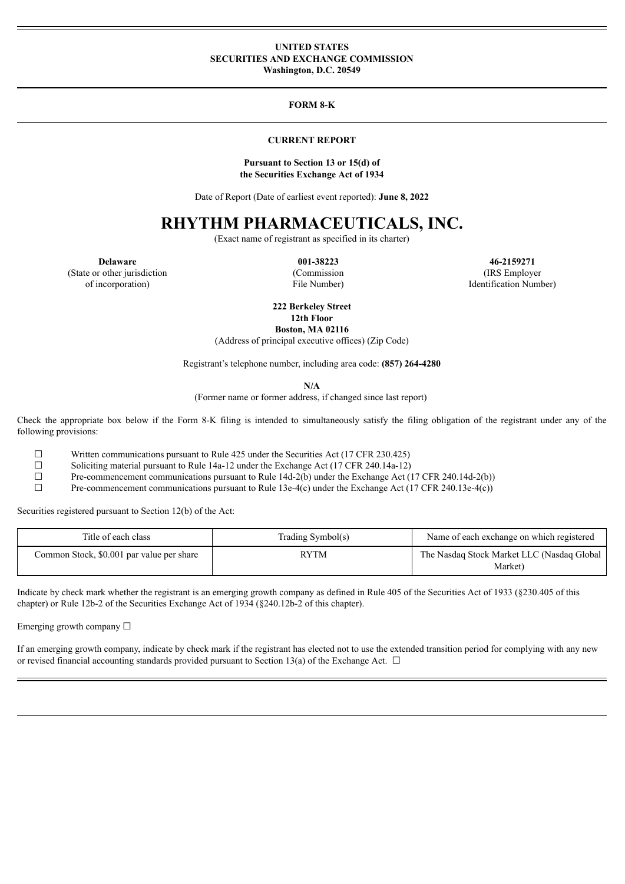### **UNITED STATES SECURITIES AND EXCHANGE COMMISSION Washington, D.C. 20549**

### **FORM 8-K**

### **CURRENT REPORT**

#### **Pursuant to Section 13 or 15(d) of the Securities Exchange Act of 1934**

Date of Report (Date of earliest event reported): **June 8, 2022**

# **RHYTHM PHARMACEUTICALS, INC.**

(Exact name of registrant as specified in its charter)

**Delaware 001-38223 46-2159271** (IRS Employer Identification Number)

(State or other jurisdiction of incorporation)

(Commission File Number)

**222 Berkeley Street 12th Floor**

**Boston, MA 02116**

(Address of principal executive offices) (Zip Code)

Registrant's telephone number, including area code: **(857) 264-4280**

**N/A**

(Former name or former address, if changed since last report)

Check the appropriate box below if the Form 8-K filing is intended to simultaneously satisfy the filing obligation of the registrant under any of the following provisions:

☐ Written communications pursuant to Rule 425 under the Securities Act (17 CFR 230.425)

☐ Soliciting material pursuant to Rule 14a-12 under the Exchange Act (17 CFR 240.14a-12)

 $\Box$  Pre-commencement communications pursuant to Rule 14d-2(b) under the Exchange Act (17 CFR 240.14d-2(b))<br>Pre-commencement communications pursuant to Rule 13e-4(c) under the Exchange Act (17 CFR 240.13e-4(c))

Pre-commencement communications pursuant to Rule 13e-4(c) under the Exchange Act (17 CFR 240.13e-4(c))

Securities registered pursuant to Section 12(b) of the Act:

| Title of each class                       | Trading Symbol(s) | Name of each exchange on which registered             |
|-------------------------------------------|-------------------|-------------------------------------------------------|
| Common Stock, \$0.001 par value per share | <b>RYTM</b>       | The Nasdaq Stock Market LLC (Nasdaq Global<br>Market) |

Indicate by check mark whether the registrant is an emerging growth company as defined in Rule 405 of the Securities Act of 1933 (§230.405 of this chapter) or Rule 12b-2 of the Securities Exchange Act of 1934 (§240.12b-2 of this chapter).

Emerging growth company  $\Box$ 

If an emerging growth company, indicate by check mark if the registrant has elected not to use the extended transition period for complying with any new or revised financial accounting standards provided pursuant to Section 13(a) of the Exchange Act.  $\Box$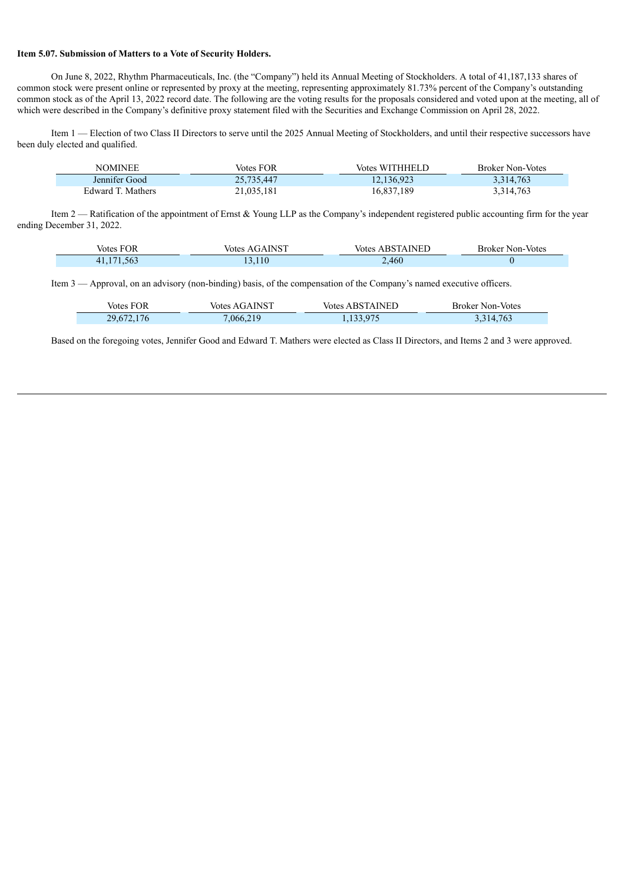### **Item 5.07. Submission of Matters to a Vote of Security Holders.**

On June 8, 2022, Rhythm Pharmaceuticals, Inc. (the "Company") held its Annual Meeting of Stockholders. A total of 41,187,133 shares of common stock were present online or represented by proxy at the meeting, representing approximately 81.73% percent of the Company's outstanding common stock as of the April 13, 2022 record date. The following are the voting results for the proposals considered and voted upon at the meeting, all of which were described in the Company's definitive proxy statement filed with the Securities and Exchange Commission on April 28, 2022.

Item 1 — Election of two Class II Directors to serve until the 2025 Annual Meeting of Stockholders, and until their respective successors have been duly elected and qualified.

| NOMINEE           | Votes FOR  | Votes WITHHELD | <b>Broker Non-Votes</b> |
|-------------------|------------|----------------|-------------------------|
| Jennifer Good     | 25,735,447 | 12,136,923     | 3,314,763               |
| Edward T. Mathers | 21,035,181 | 16,837,189     | 3,314,763               |

Item 2 — Ratification of the appointment of Ernst & Young LLP as the Company's independent registered public accounting firm for the year ending December 31, 2022.

| <b>Votes FOR</b>   | <b>Votes AGAINST</b> | <b>Votes ABSTAINED</b><br>the contract of the contract of the | <b>Broker Non-Votes</b> |
|--------------------|----------------------|---------------------------------------------------------------|-------------------------|
| .563<br>171<br>4 I | 13.110               | ,460<br>-                                                     |                         |

Item 3 — Approval, on an advisory (non-binding) basis, of the compensation of the Company's named executive officers.

| Votes FOR  | <b>Votes AGAINST</b> | <b>Votes ABSTAINED</b> | <b>Broker Non-Votes</b> |
|------------|----------------------|------------------------|-------------------------|
| 29,672,176 | 7,066,219            | 1,133,975              | 3,314,763               |

Based on the foregoing votes, Jennifer Good and Edward T. Mathers were elected as Class II Directors, and Items 2 and 3 were approved.